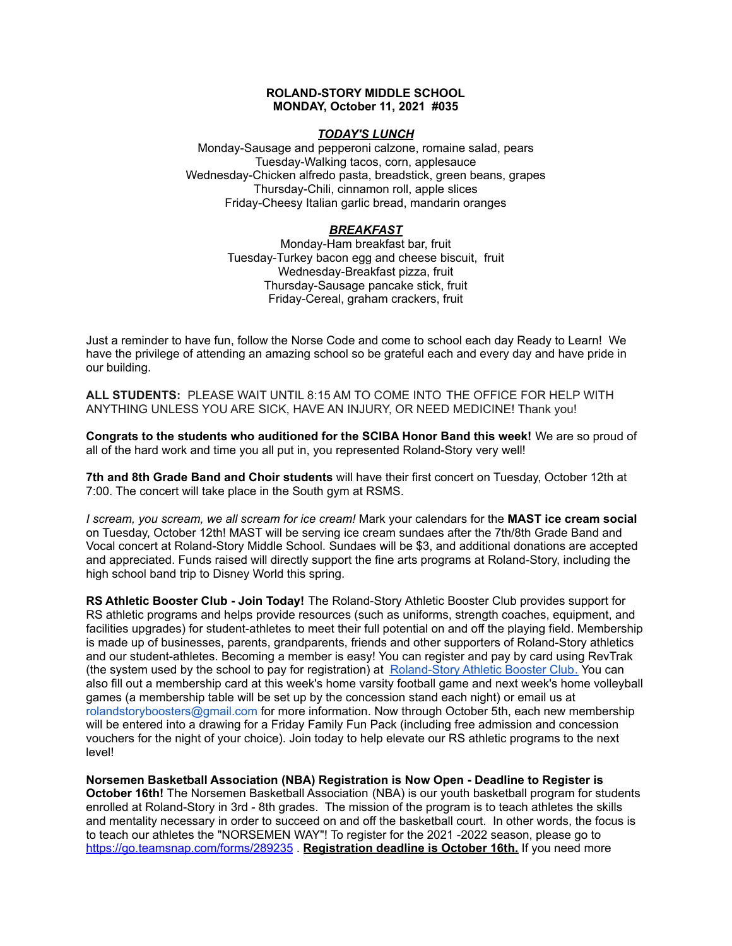### **ROLAND-STORY MIDDLE SCHOOL MONDAY, October 11, 2021 #035**

### *TODAY'S LUNCH*

Monday-Sausage and pepperoni calzone, romaine salad, pears Tuesday-Walking tacos, corn, applesauce Wednesday-Chicken alfredo pasta, breadstick, green beans, grapes Thursday-Chili, cinnamon roll, apple slices Friday-Cheesy Italian garlic bread, mandarin oranges

## *BREAKFAST*

Monday-Ham breakfast bar, fruit Tuesday-Turkey bacon egg and cheese biscuit, fruit Wednesday-Breakfast pizza, fruit Thursday-Sausage pancake stick, fruit Friday-Cereal, graham crackers, fruit

Just a reminder to have fun, follow the Norse Code and come to school each day Ready to Learn! We have the privilege of attending an amazing school so be grateful each and every day and have pride in our building.

**ALL STUDENTS:** PLEASE WAIT UNTIL 8:15 AM TO COME INTO THE OFFICE FOR HELP WITH ANYTHING UNLESS YOU ARE SICK, HAVE AN INJURY, OR NEED MEDICINE! Thank you!

**Congrats to the students who auditioned for the SCIBA Honor Band this week!** We are so proud of all of the hard work and time you all put in, you represented Roland-Story very well!

**7th and 8th Grade Band and Choir students** will have their first concert on Tuesday, October 12th at 7:00. The concert will take place in the South gym at RSMS.

*I scream, you scream, we all scream for ice cream!* Mark your calendars for the **MAST ice cream social** on Tuesday, October 12th! MAST will be serving ice cream sundaes after the 7th/8th Grade Band and Vocal concert at Roland-Story Middle School. Sundaes will be \$3, and additional donations are accepted and appreciated. Funds raised will directly support the fine arts programs at Roland-Story, including the high school band trip to Disney World this spring.

**RS Athletic Booster Club - Join Today!** The Roland-Story Athletic Booster Club provides support for RS athletic programs and helps provide resources (such as uniforms, strength coaches, equipment, and facilities upgrades) for student-athletes to meet their full potential on and off the playing field. Membership is made up of businesses, parents, grandparents, friends and other supporters of Roland-Story athletics and our student-athletes. Becoming a member is easy! You can register and pay by card using RevTrak (the system used by the school to pay for registration) at [Roland-Story](https://rolandstory.revtrak.net/Roland-Story-Athletic-Booster-Club/) Athletic Booster Club. You can also fill out a membership card at this week's home varsity football game and next week's home volleyball games (a membership table will be set up by the concession stand each night) or email us at rolandstoryboosters@gmail.com for more information. Now through October 5th, each new membership will be entered into a drawing for a Friday Family Fun Pack (including free admission and concession vouchers for the night of your choice). Join today to help elevate our RS athletic programs to the next level!

**Norsemen Basketball Association (NBA) Registration is Now Open - Deadline to Register is October 16th!** The Norsemen Basketball Association (NBA) is our youth basketball program for students enrolled at Roland-Story in 3rd - 8th grades. The mission of the program is to teach athletes the skills and mentality necessary in order to succeed on and off the basketball court. In other words, the focus is to teach our athletes the "NORSEMEN WAY"! To register for the 2021 -2022 season, please go to <https://go.teamsnap.com/forms/289235> . **Registration deadline is October 16th.** If you need more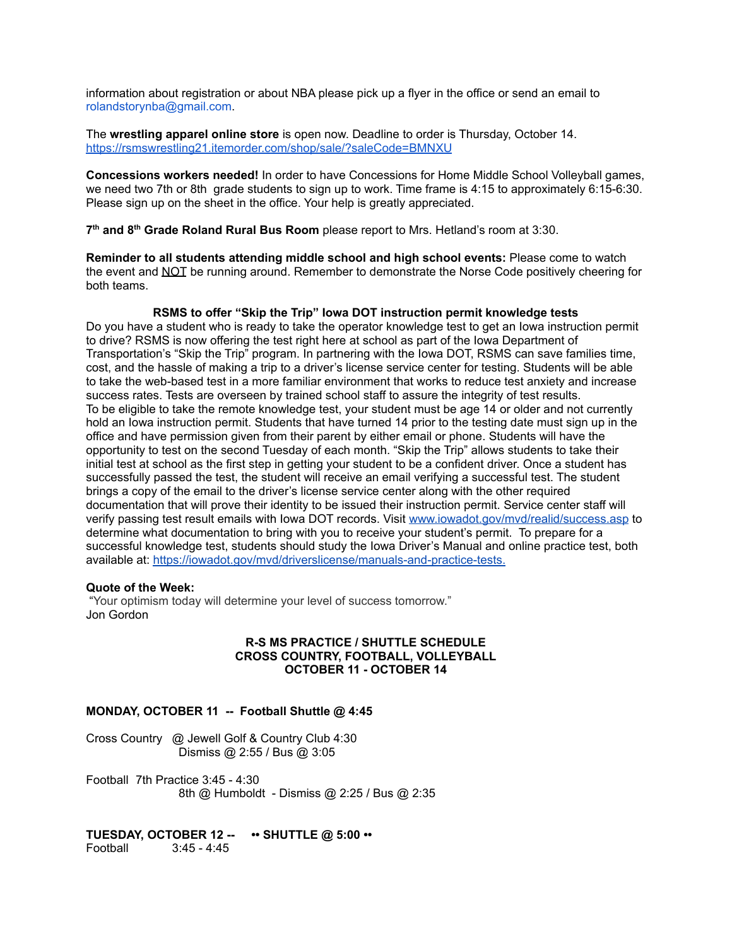information about registration or about NBA please pick up a flyer in the office or send an email to rolandstorynba@gmail.com.

The **wrestling apparel online store** is open now. Deadline to order is Thursday, October 14. <https://rsmswrestling21.itemorder.com/shop/sale/?saleCode=BMNXU>

**Concessions workers needed!** In order to have Concessions for Home Middle School Volleyball games, we need two 7th or 8th grade students to sign up to work. Time frame is 4:15 to approximately 6:15-6:30. Please sign up on the sheet in the office. Your help is greatly appreciated.

**7 th and 8 th Grade Roland Rural Bus Room** please report to Mrs. Hetland's room at 3:30.

**Reminder to all students attending middle school and high school events:** Please come to watch the event and NOT be running around. Remember to demonstrate the Norse Code positively cheering for both teams.

#### **RSMS to offer "Skip the Trip" Iowa DOT instruction permit knowledge tests**

Do you have a student who is ready to take the operator knowledge test to get an Iowa instruction permit to drive? RSMS is now offering the test right here at school as part of the Iowa Department of Transportation's "Skip the Trip" program. In partnering with the Iowa DOT, RSMS can save families time, cost, and the hassle of making a trip to a driver's license service center for testing. Students will be able to take the web-based test in a more familiar environment that works to reduce test anxiety and increase success rates. Tests are overseen by trained school staff to assure the integrity of test results. To be eligible to take the remote knowledge test, your student must be age 14 or older and not currently hold an Iowa instruction permit. Students that have turned 14 prior to the testing date must sign up in the office and have permission given from their parent by either email or phone. Students will have the opportunity to test on the second Tuesday of each month. "Skip the Trip" allows students to take their initial test at school as the first step in getting your student to be a confident driver. Once a student has successfully passed the test, the student will receive an email verifying a successful test. The student brings a copy of the email to the driver's license service center along with the other required documentation that will prove their identity to be issued their instruction permit. Service center staff will verify passing test result emails with Iowa DOT records. Visit [www.iowadot.gov/mvd/realid/success.asp](http://www.iowadot.gov/mvd/realid/success.asp) to determine what documentation to bring with you to receive your student's permit. To prepare for a successful knowledge test, students should study the Iowa Driver's Manual and online practice test, both available at: <https://iowadot.gov/mvd/driverslicense/manuals-and-practice-tests>.

#### **Quote of the Week:**

"Your optimism today will [determine](https://www.azquotes.com/quote/806528) your level of success tomorrow." Jon Gordon

#### **R-S MS PRACTICE / SHUTTLE SCHEDULE CROSS COUNTRY, FOOTBALL, VOLLEYBALL OCTOBER 11 - OCTOBER 14**

#### **MONDAY, OCTOBER 11 -- Football Shuttle @ 4:45**

Cross Country @ Jewell Golf & Country Club 4:30 Dismiss @ 2:55 / Bus @ 3:05

Football 7th Practice 3:45 - 4:30 8th @ Humboldt - Dismiss @ 2:25 / Bus @ 2:35

## **TUESDAY, OCTOBER 12 -- •• SHUTTLE @ 5:00 ••**

Football 3:45 - 4:45